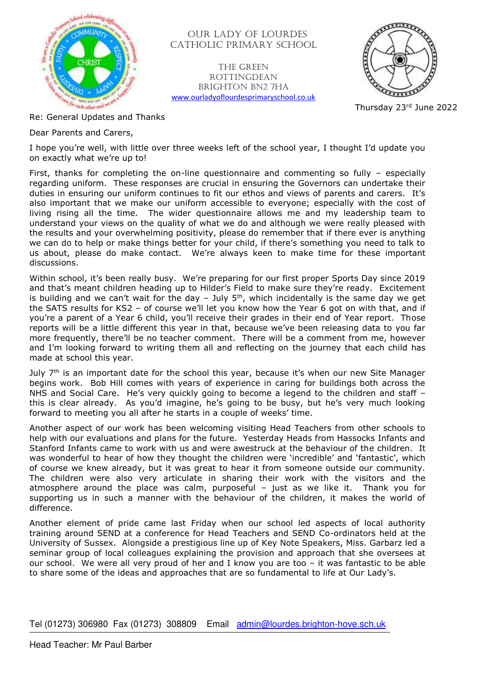

 OUR LADY OF LOURDES CATHOLIC PRIMARY SCHOOL

The Green **ROTTINGDEAN** Brighton BN2 7HA [www.ourladyoflourdesprimaryschool.co.uk](http://www.ourladyoflourdesprimaryschool.co.uk/)



Thursday 23rd June 2022

Re: General Updates and Thanks

Dear Parents and Carers,

I hope you're well, with little over three weeks left of the school year, I thought I'd update you on exactly what we're up to!

First, thanks for completing the on-line questionnaire and commenting so fully – especially regarding uniform. These responses are crucial in ensuring the Governors can undertake their duties in ensuring our uniform continues to fit our ethos and views of parents and carers. It's also important that we make our uniform accessible to everyone; especially with the cost of living rising all the time. The wider questionnaire allows me and my leadership team to understand your views on the quality of what we do and although we were really pleased with the results and your overwhelming positivity, please do remember that if there ever is anything we can do to help or make things better for your child, if there's something you need to talk to us about, please do make contact. We're always keen to make time for these important discussions.

Within school, it's been really busy. We're preparing for our first proper Sports Day since 2019 and that's meant children heading up to Hilder's Field to make sure they're ready. Excitement is building and we can't wait for the day – July 5th, which incidentally is the same day we get the SATS results for KS2 – of course we'll let you know how the Year 6 got on with that, and if you're a parent of a Year 6 child, you'll receive their grades in their end of Year report. Those reports will be a little different this year in that, because we've been releasing data to you far more frequently, there'll be no teacher comment. There will be a comment from me, however and I'm looking forward to writing them all and reflecting on the journey that each child has made at school this year.

July 7<sup>th</sup> is an important date for the school this year, because it's when our new Site Manager begins work. Bob Hill comes with years of experience in caring for buildings both across the NHS and Social Care. He's very quickly going to become a legend to the children and staff this is clear already. As you'd imagine, he's going to be busy, but he's very much looking forward to meeting you all after he starts in a couple of weeks' time.

Another aspect of our work has been welcoming visiting Head Teachers from other schools to help with our evaluations and plans for the future. Yesterday Heads from Hassocks Infants and Stanford Infants came to work with us and were awestruck at the behaviour of the children. It was wonderful to hear of how they thought the children were 'incredible' and 'fantastic', which of course we knew already, but it was great to hear it from someone outside our community. The children were also very articulate in sharing their work with the visitors and the atmosphere around the place was calm, purposeful – just as we like it. Thank you for supporting us in such a manner with the behaviour of the children, it makes the world of difference.

Another element of pride came last Friday when our school led aspects of local authority training around SEND at a conference for Head Teachers and SEND Co-ordinators held at the University of Sussex. Alongside a prestigious line up of Key Note Speakers, Miss. Garbarz led a seminar group of local colleagues explaining the provision and approach that she oversees at our school. We were all very proud of her and I know you are too – it was fantastic to be able to share some of the ideas and approaches that are so fundamental to life at Our Lady's.